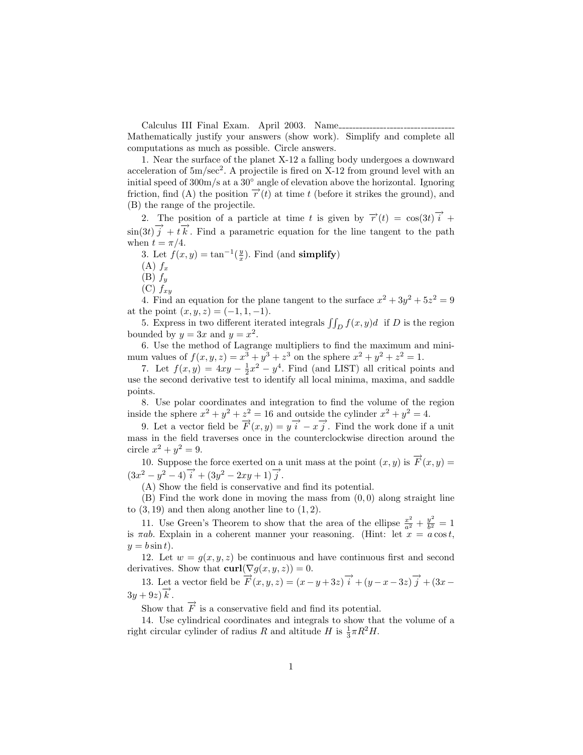Calculus III Final Exam. April 2003. Name Mathematically justify your answers (show work). Simplify and complete all computations as much as possible. Circle answers.

1. Near the surface of the planet X-12 a falling body undergoes a downward acceleration of  $5m/sec<sup>2</sup>$ . A projectile is fired on X-12 from ground level with an initial speed of 300m/s at a 30◦ angle of elevation above the horizontal. Ignoring friction, find (A) the position  $\vec{r}(t)$  at time t (before it strikes the ground), and (B) the range of the projectile.

2. The position of a particle at time t is given by  $\vec{r}'(t) = \cos(3t)\vec{i} +$  $\sin(3t)\vec{j} + t\vec{k}$ . Find a parametric equation for the line tangent to the path when  $t = \pi/4$ .

3. Let  $f(x, y) = \tan^{-1}(\frac{y}{x})$ . Find (and simplify)

 $(A) f_x$ 

 $(B) f_y$ 

 $(C) f_{xy}$ 

4. Find an equation for the plane tangent to the surface  $x^2 + 3y^2 + 5z^2 = 9$ at the point  $(x, y, z) = (-1, 1, -1)$ .

5. Express in two different iterated integrals  $\iint_D f(x, y)d$  if D is the region bounded by  $y = 3x$  and  $y = x^2$ .

6. Use the method of Lagrange multipliers to find the maximum and minimum values of  $f(x, y, z) = x^3 + y^3 + z^3$  on the sphere  $x^2 + y^2 + z^2 = 1$ .

7. Let  $f(x,y) = 4xy - \frac{1}{2}x^2 - y^4$ . Find (and LIST) all critical points and use the second derivative test to identify all local minima, maxima, and saddle points.

8. Use polar coordinates and integration to find the volume of the region inside the sphere  $x^2 + y^2 + z^2 = 16$  and outside the cylinder  $x^2 + y^2 = 4$ .

9. Let a vector field be  $\overrightarrow{F}(x,y) = y \overrightarrow{i} - x \overrightarrow{j}$ . Find the work done if a unit mass in the field traverses once in the counterclockwise direction around the circle  $x^2 + y^2 = 9$ .

10. Suppose the force exerted on a unit mass at the point  $(x, y)$  is  $\overrightarrow{F}(x, y) =$  $(3x^2 - y^2 - 4)\overrightarrow{i} + (3y^2 - 2xy + 1)\overrightarrow{j}.$ 

(A) Show the field is conservative and find its potential.

 $(B)$  Find the work done in moving the mass from  $(0, 0)$  along straight line to  $(3, 19)$  and then along another line to  $(1, 2)$ .

11. Use Green's Theorem to show that the area of the ellipse  $\frac{x^2}{a^2} + \frac{y^2}{b^2}$  $\frac{y}{b^2} = 1$ is  $\pi ab$ . Explain in a coherent manner your reasoning. (Hint: let  $x = a \cos t$ ,  $y = b \sin t$ .

12. Let  $w = g(x, y, z)$  be continuous and have continuous first and second derivatives. Show that  $\text{curl}(\nabla g(x, y, z)) = 0$ .

13. Let a vector field be  $\overrightarrow{F}(x, y, z) = (x - y + 3z)\overrightarrow{i} + (y - x - 3z)\overrightarrow{j} + (3x - y + 3z)\overrightarrow{k}$  $3y + 9z \overrightarrow{k}$ .

Show that  $\vec{F}$  is a conservative field and find its potential.

14. Use cylindrical coordinates and integrals to show that the volume of a right circular cylinder of radius R and altitude H is  $\frac{1}{3}\pi R^2H$ .